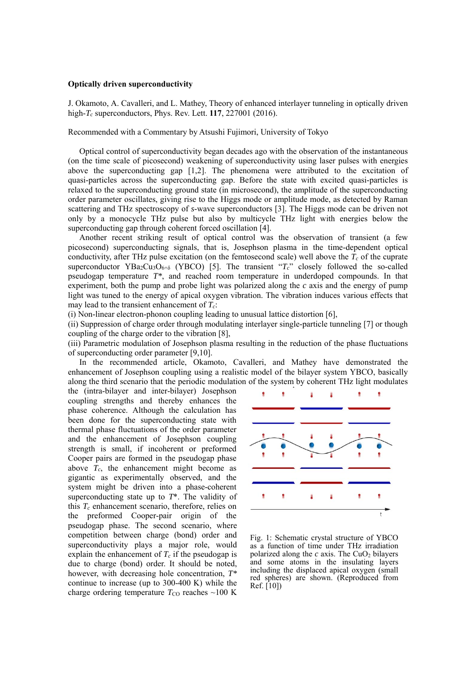## **Optically driven superconductivity**

J. Okamoto, A. Cavalleri, and L. Mathey, Theory of enhanced interlayer tunneling in optically driven high-*Tc* superconductors, Phys. Rev. Lett. **117**, 227001 (2016).

Recommended with a Commentary by Atsushi Fujimori, University of Tokyo

Optical control of superconductivity began decades ago with the observation of the instantaneous (on the time scale of picosecond) weakening of superconductivity using laser pulses with energies above the superconducting gap  $[1,2]$ . The phenomena were attributed to the excitation of quasi-particles across the superconducting gap. Before the state with excited quasi-particles is relaxed to the superconducting ground state (in microsecond), the amplitude of the superconducting order parameter oscillates, giving rise to the Higgs mode or amplitude mode, as detected by Raman scattering and THz spectroscopy of *s*-wave superconductors [3]. The Higgs mode can be driven not only by a monocycle THz pulse but also by multicycle THz light with energies below the superconducting gap through coherent forced oscillation [4].

Another recent striking result of optical control was the observation of transient (a few picosecond) superconducting signals, that is, Josephson plasma in the time-dependent optical conductivity, after THz pulse excitation (on the femtosecond scale) well above the  $T_c$  of the cuprate superconductor YBa<sub>2</sub>Cu<sub>3</sub>O<sub>6+δ</sub> (YBCO) [5]. The transient " $T_c$ " closely followed the so-called pseudogap temperature *T\**, and reached room temperature in underdoped compounds. In that experiment, both the pump and probe light was polarized along the *c* axis and the energy of pump light was tuned to the energy of apical oxygen vibration. The vibration induces various effects that may lead to the transient enhancement of *Tc*:

(i) Non-linear electron-phonon coupling leading to unusual lattice distortion [6],

(ii) Suppression of charge order through modulating interlayer single-particle tunneling [7] or though coupling of the charge order to the vibration [8],

(iii) Parametric modulation of Josephson plasma resulting in the reduction of the phase fluctuations of superconducting order parameter [9,10].

In the recommended article, Okamoto, Cavalleri, and Mathey have demonstrated the enhancement of Josephson coupling using a realistic model of the bilayer system YBCO, basically along the third scenario that the periodic modulation of the system by coherent THz light modulates

the (intra-bilayer and inter-bilayer) Josephson coupling strengths and thereby enhances the phase coherence. Although the calculation has been done for the superconducting state with thermal phase fluctuations of the order parameter and the enhancement of Josephson coupling strength is small, if incoherent or preformed Cooper pairs are formed in the pseudogap phase above  $T_c$ , the enhancement might become as gigantic as experimentally observed, and the system might be driven into a phase-coherent superconducting state up to *T*\*. The validity of this  $T_c$  enhancement scenario, therefore, relies on the preformed Cooper-pair origin of the pseudogap phase. The second scenario, where competition between charge (bond) order and superconductivity plays a major role, would explain the enhancement of  $T_c$  if the pseudogap is due to charge (bond) order. It should be noted, however, with decreasing hole concentration, *T\** continue to increase (up to 300-400 K) while the charge ordering temperature  $T_{\text{CO}}$  reaches  $\sim$ 100 K



Fig. 1: Schematic crystal structure of YBCO as a function of time under THz irradiation polarized along the  $c$  axis. The CuO<sub>2</sub> bilayers and some atoms in the insulating layers including the displaced apical oxygen (small red spheres) are shown. (Reproduced from Ref. [10])